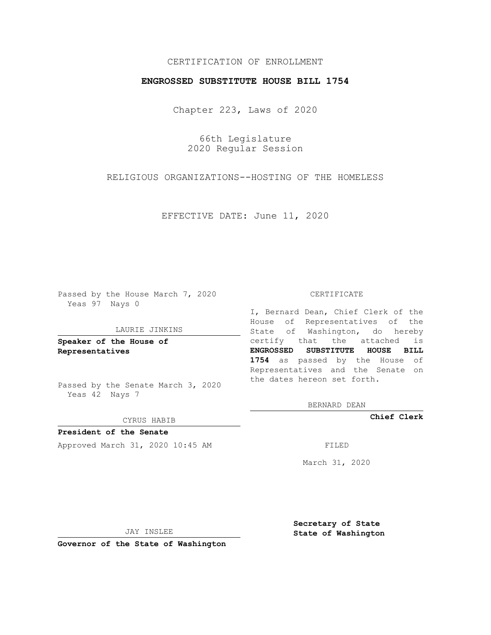## CERTIFICATION OF ENROLLMENT

## **ENGROSSED SUBSTITUTE HOUSE BILL 1754**

Chapter 223, Laws of 2020

66th Legislature 2020 Regular Session

RELIGIOUS ORGANIZATIONS--HOSTING OF THE HOMELESS

EFFECTIVE DATE: June 11, 2020

Passed by the House March 7, 2020 Yeas 97 Nays 0

#### LAURIE JINKINS

**Speaker of the House of Representatives**

Passed by the Senate March 3, 2020 Yeas 42 Nays 7

CYRUS HABIB

**President of the Senate** Approved March 31, 2020 10:45 AM FILED

#### CERTIFICATE

I, Bernard Dean, Chief Clerk of the House of Representatives of the State of Washington, do hereby certify that the attached is **ENGROSSED SUBSTITUTE HOUSE BILL 1754** as passed by the House of Representatives and the Senate on the dates hereon set forth.

BERNARD DEAN

**Chief Clerk**

March 31, 2020

JAY INSLEE

**Governor of the State of Washington**

**Secretary of State State of Washington**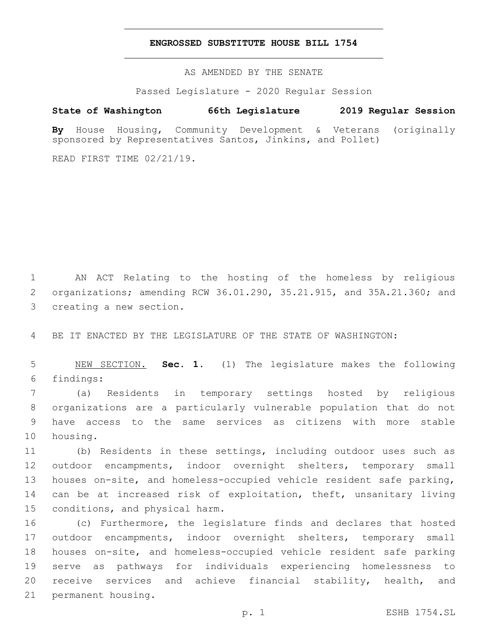### **ENGROSSED SUBSTITUTE HOUSE BILL 1754**

AS AMENDED BY THE SENATE

Passed Legislature - 2020 Regular Session

# **State of Washington 66th Legislature 2019 Regular Session**

**By** House Housing, Community Development & Veterans (originally sponsored by Representatives Santos, Jinkins, and Pollet)

READ FIRST TIME 02/21/19.

1 AN ACT Relating to the hosting of the homeless by religious 2 organizations; amending RCW 36.01.290, 35.21.915, and 35A.21.360; and 3 creating a new section.

4 BE IT ENACTED BY THE LEGISLATURE OF THE STATE OF WASHINGTON:

5 NEW SECTION. **Sec. 1.** (1) The legislature makes the following 6 findings:

 (a) Residents in temporary settings hosted by religious organizations are a particularly vulnerable population that do not have access to the same services as citizens with more stable 10 housing.

 (b) Residents in these settings, including outdoor uses such as outdoor encampments, indoor overnight shelters, temporary small houses on-site, and homeless-occupied vehicle resident safe parking, can be at increased risk of exploitation, theft, unsanitary living 15 conditions, and physical harm.

 (c) Furthermore, the legislature finds and declares that hosted outdoor encampments, indoor overnight shelters, temporary small houses on-site, and homeless-occupied vehicle resident safe parking serve as pathways for individuals experiencing homelessness to receive services and achieve financial stability, health, and 21 permanent housing.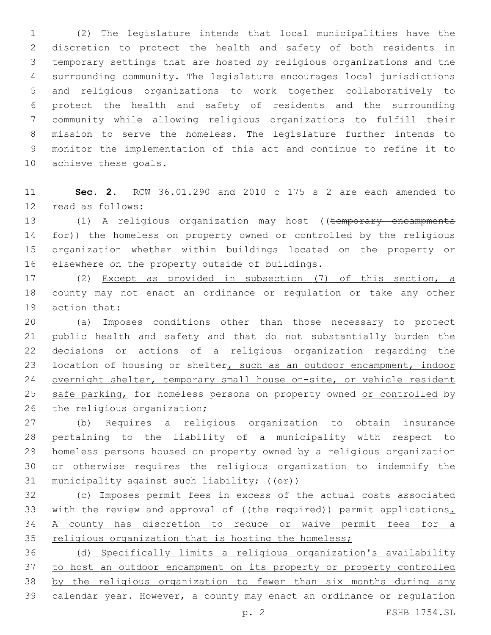(2) The legislature intends that local municipalities have the discretion to protect the health and safety of both residents in temporary settings that are hosted by religious organizations and the surrounding community. The legislature encourages local jurisdictions and religious organizations to work together collaboratively to protect the health and safety of residents and the surrounding community while allowing religious organizations to fulfill their mission to serve the homeless. The legislature further intends to monitor the implementation of this act and continue to refine it to 10 achieve these goals.

 **Sec. 2.** RCW 36.01.290 and 2010 c 175 s 2 are each amended to 12 read as follows:

13 (1) A religious organization may host ((temporary encampments 14 for)) the homeless on property owned or controlled by the religious organization whether within buildings located on the property or 16 elsewhere on the property outside of buildings.

 (2) Except as provided in subsection (7) of this section, a county may not enact an ordinance or regulation or take any other 19 action that:

 (a) Imposes conditions other than those necessary to protect public health and safety and that do not substantially burden the decisions or actions of a religious organization regarding the 23 location of housing or shelter, such as an outdoor encampment, indoor 24 overnight shelter, temporary small house on-site, or vehicle resident 25 safe parking, for homeless persons on property owned or controlled by 26 the religious organization;

 (b) Requires a religious organization to obtain insurance pertaining to the liability of a municipality with respect to homeless persons housed on property owned by a religious organization or otherwise requires the religious organization to indemnify the 31 municipality against such liability;  $((\theta \cdot \hat{r}))$ 

 (c) Imposes permit fees in excess of the actual costs associated 33 with the review and approval of ((the required)) permit applications. A county has discretion to reduce or waive permit fees for a 35 religious organization that is hosting the homeless;

 (d) Specifically limits a religious organization's availability to host an outdoor encampment on its property or property controlled by the religious organization to fewer than six months during any calendar year. However, a county may enact an ordinance or regulation

p. 2 ESHB 1754.SL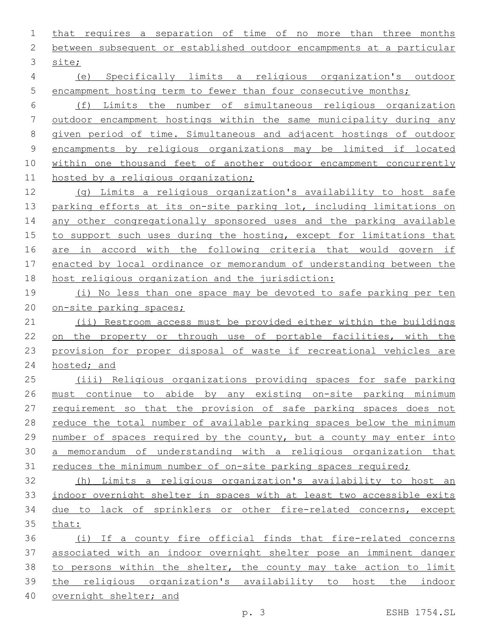that requires a separation of time of no more than three months between subsequent or established outdoor encampments at a particular 3 site;

 (e) Specifically limits a religious organization's outdoor 5 encampment hosting term to fewer than four consecutive months;

 (f) Limits the number of simultaneous religious organization outdoor encampment hostings within the same municipality during any given period of time. Simultaneous and adjacent hostings of outdoor encampments by religious organizations may be limited if located 10 within one thousand feet of another outdoor encampment concurrently hosted by a religious organization;

 (g) Limits a religious organization's availability to host safe 13 parking efforts at its on-site parking lot, including limitations on 14 any other congregationally sponsored uses and the parking available to support such uses during the hosting, except for limitations that are in accord with the following criteria that would govern if enacted by local ordinance or memorandum of understanding between the host religious organization and the jurisdiction:

 (i) No less than one space may be devoted to safe parking per ten on-site parking spaces;

 (ii) Restroom access must be provided either within the buildings on the property or through use of portable facilities, with the provision for proper disposal of waste if recreational vehicles are hosted; and

 (iii) Religious organizations providing spaces for safe parking must continue to abide by any existing on-site parking minimum requirement so that the provision of safe parking spaces does not reduce the total number of available parking spaces below the minimum number of spaces required by the county, but a county may enter into a memorandum of understanding with a religious organization that 31 reduces the minimum number of on-site parking spaces required;

 (h) Limits a religious organization's availability to host an indoor overnight shelter in spaces with at least two accessible exits due to lack of sprinklers or other fire-related concerns, except that:

 (i) If a county fire official finds that fire-related concerns associated with an indoor overnight shelter pose an imminent danger to persons within the shelter, the county may take action to limit the religious organization's availability to host the indoor overnight shelter; and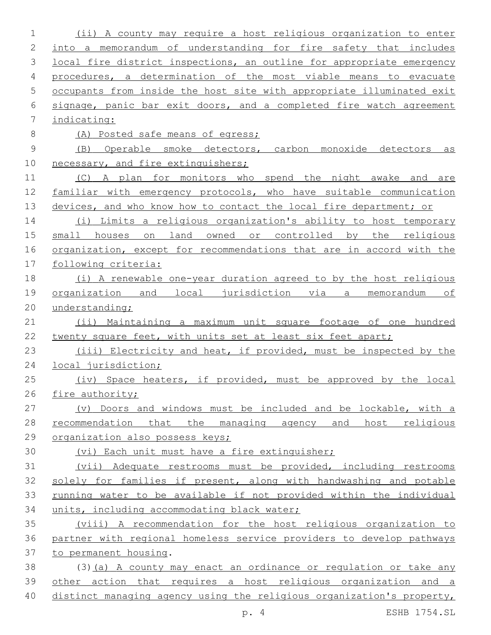| 1           | (ii) A county may require a host religious organization to enter          |
|-------------|---------------------------------------------------------------------------|
| 2           | into a memorandum of understanding for fire safety that includes          |
| 3           | local fire district inspections, an outline for appropriate emergency     |
| 4           | procedures, a determination of the most viable means to evacuate          |
| 5           | occupants from inside the host site with appropriate illuminated exit     |
| 6           | signage, panic bar exit doors, and a completed fire watch agreement       |
| 7           | indicating:                                                               |
| 8           | (A) Posted safe means of egress;                                          |
| $\mathsf 9$ | (B) Operable smoke detectors, carbon monoxide detectors<br>$\overline{a}$ |
| 10          | necessary, and fire extinguishers;                                        |
| 11          | (C) A plan for monitors who spend the night awake and are                 |
| 12          | familiar with emergency protocols, who have suitable communication        |
| 13          | devices, and who know how to contact the local fire department; or        |
| 14          | (i) Limits a religious organization's ability to host temporary           |
| 15          | small houses on land owned or controlled by the religious                 |
| 16          | organization, except for recommendations that are in accord with the      |
| 17          | following criteria:                                                       |
| 18          | (i) A renewable one-year duration agreed to by the host religious         |
| 19          | organization and local jurisdiction via a memorandum of                   |
| 20          | understanding;                                                            |
| 21          | (ii) Maintaining a maximum unit square footage of one hundred             |
| 22          | twenty square feet, with units set at least six feet apart;               |
| 23          | (iii) Electricity and heat, if provided, must be inspected by the         |
| 24          | local jurisdiction;                                                       |
| 25          | (iv) Space heaters, if provided, must be approved by the local            |
| 26          | fire authority;                                                           |
| 27          | (v) Doors and windows must be included and be lockable, with a            |
| 28          | recommendation that the managing agency and host religious                |
| 29          | organization also possess keys;                                           |
| 30          | (vi) Each unit must have a fire extinguisher;                             |
| 31          | (vii) Adequate restrooms must be provided, including restrooms            |
| 32          | solely for families if present, along with handwashing and potable        |
| 33          | running water to be available if not provided within the individual       |
| 34          | units, including accommodating black water;                               |
| 35          | (viii) A recommendation for the host religious organization to            |
| 36          | partner with regional homeless service providers to develop pathways      |
| 37          | to permanent housing.                                                     |
| 38          | (3) (a) A county may enact an ordinance or regulation or take any         |
| 39          | other action that requires a host religious organization and a            |
| 40          | distinct managing agency using the religious organization's property,     |

p. 4 ESHB 1754.SL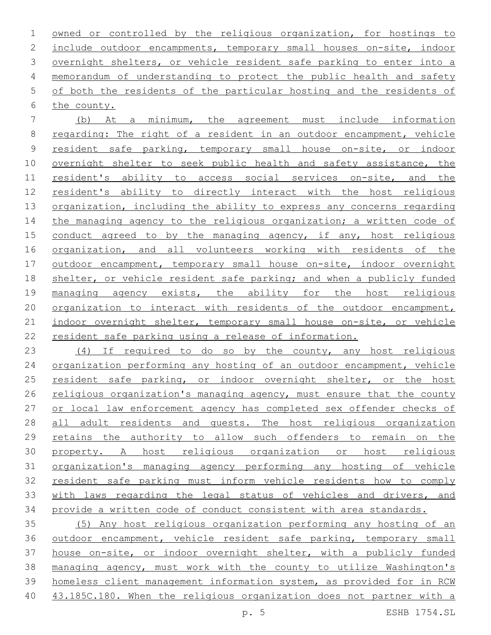owned or controlled by the religious organization, for hostings to include outdoor encampments, temporary small houses on-site, indoor overnight shelters, or vehicle resident safe parking to enter into a memorandum of understanding to protect the public health and safety of both the residents of the particular hosting and the residents of 6 the county.

 (b) At a minimum, the agreement must include information regarding: The right of a resident in an outdoor encampment, vehicle resident safe parking, temporary small house on-site, or indoor overnight shelter to seek public health and safety assistance, the resident's ability to access social services on-site, and the resident's ability to directly interact with the host religious 13 organization, including the ability to express any concerns regarding 14 the managing agency to the religious organization; a written code of 15 conduct agreed to by the managing agency, if any, host religious 16 organization, and all volunteers working with residents of the outdoor encampment, temporary small house on-site, indoor overnight 18 shelter, or vehicle resident safe parking; and when a publicly funded managing agency exists, the ability for the host religious organization to interact with residents of the outdoor encampment, 21 indoor overnight shelter, temporary small house on-site, or vehicle resident safe parking using a release of information.

 (4) If required to do so by the county, any host religious organization performing any hosting of an outdoor encampment, vehicle 25 resident safe parking, or indoor overnight shelter, or the host religious organization's managing agency, must ensure that the county or local law enforcement agency has completed sex offender checks of 28 all adult residents and quests. The host religious organization retains the authority to allow such offenders to remain on the property. A host religious organization or host religious organization's managing agency performing any hosting of vehicle resident safe parking must inform vehicle residents how to comply with laws regarding the legal status of vehicles and drivers, and provide a written code of conduct consistent with area standards.

 (5) Any host religious organization performing any hosting of an outdoor encampment, vehicle resident safe parking, temporary small house on-site, or indoor overnight shelter, with a publicly funded managing agency, must work with the county to utilize Washington's homeless client management information system, as provided for in RCW 40 43.185C.180. When the religious organization does not partner with a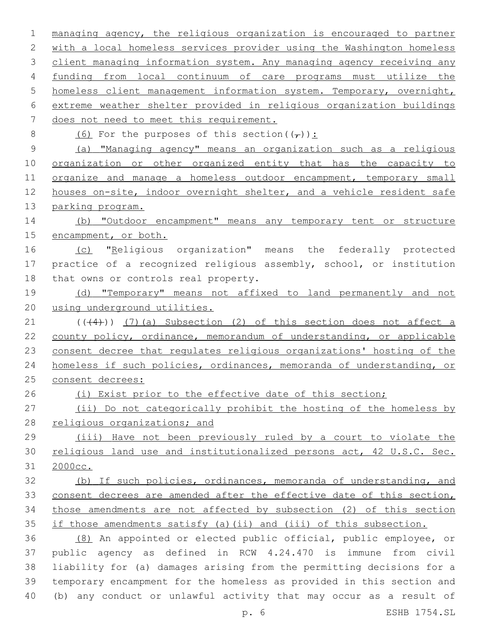| $\mathbf 1$    | managing agency, the religious organization is encouraged to partner  |
|----------------|-----------------------------------------------------------------------|
| 2              | with a local homeless services provider using the Washington homeless |
| 3              | client managing information system. Any managing agency receiving any |
| 4              | funding from local continuum of care programs must utilize the        |
| 5              | homeless client management information system. Temporary, overnight,  |
| 6              | extreme weather shelter provided in religious organization buildings  |
| $\overline{7}$ | does not need to meet this requirement.                               |
| $\,8\,$        | (6) For the purposes of this section( $(\tau)$ ):                     |
| $\mathsf 9$    | (a) "Managing agency" means an organization such as a religious       |
| 10             | organization or other organized entity that has the capacity to       |
| 11             | organize and manage a homeless outdoor encampment, temporary small    |
| 12             | houses on-site, indoor overnight shelter, and a vehicle resident safe |
| 13             | parking program.                                                      |
| 14             | (b) "Outdoor encampment" means any temporary tent or structure        |
| 15             | encampment, or both.                                                  |
| 16             | (c) "Religious organization" means the federally protected            |
| 17             | practice of a recognized religious assembly, school, or institution   |
| 18             | that owns or controls real property.                                  |
| 19             | (d) "Temporary" means not affixed to land permanently and not         |
| 20             | using underground utilities.                                          |
| 21             | $((+4))$ (7) (a) Subsection (2) of this section does not affect a     |
| 22             | county policy, ordinance, memorandum of understanding, or applicable  |
| 23             | consent decree that regulates religious organizations' hosting of the |
| 24             | homeless if such policies, ordinances, memoranda of understanding, or |
| 25             | consent decrees:                                                      |
| 26             | (i) Exist prior to the effective date of this section;                |
| 27             | (ii) Do not categorically prohibit the hosting of the homeless by     |
| 28             | religious organizations; and                                          |
| 29             | (iii) Have not been previously ruled by a court to violate the        |
| 30             | religious land use and institutionalized persons act, 42 U.S.C. Sec.  |
| 31             | 2000cc.                                                               |
| 32             | (b) If such policies, ordinances, memoranda of understanding, and     |
| 33             | consent decrees are amended after the effective date of this section, |
| 34             | those amendments are not affected by subsection (2) of this section   |
| 35             | if those amendments satisfy (a) (ii) and (iii) of this subsection.    |
| 36             | (8) An appointed or elected public official, public employee, or      |
| 37             | public agency as defined in RCW 4.24.470 is immune from civil         |
| 38             | liability for (a) damages arising from the permitting decisions for a |
| 39             | temporary encampment for the homeless as provided in this section and |
| 40             | (b) any conduct or unlawful activity that may occur as a result of    |

p. 6 ESHB 1754.SL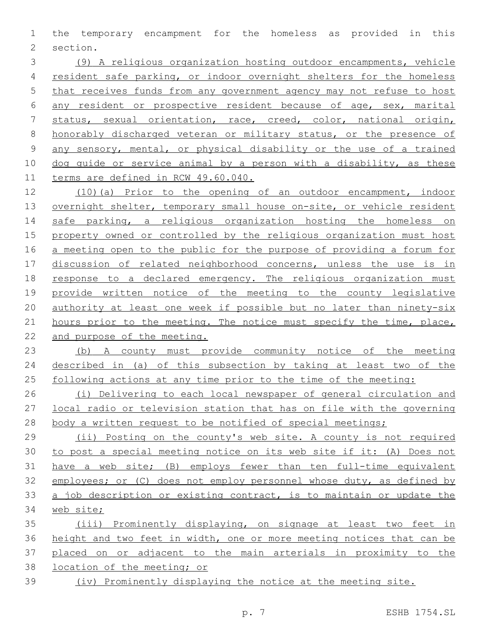the temporary encampment for the homeless as provided in this 2 section.

 (9) A religious organization hosting outdoor encampments, vehicle resident safe parking, or indoor overnight shelters for the homeless that receives funds from any government agency may not refuse to host any resident or prospective resident because of age, sex, marital status, sexual orientation, race, creed, color, national origin, honorably discharged veteran or military status, or the presence of any sensory, mental, or physical disability or the use of a trained dog guide or service animal by a person with a disability, as these terms are defined in RCW 49.60.040.

 (10)(a) Prior to the opening of an outdoor encampment, indoor 13 overnight shelter, temporary small house on-site, or vehicle resident 14 safe parking, a religious organization hosting the homeless on property owned or controlled by the religious organization must host a meeting open to the public for the purpose of providing a forum for discussion of related neighborhood concerns, unless the use is in response to a declared emergency. The religious organization must provide written notice of the meeting to the county legislative authority at least one week if possible but no later than ninety-six 21 hours prior to the meeting. The notice must specify the time, place, and purpose of the meeting.

 (b) A county must provide community notice of the meeting described in (a) of this subsection by taking at least two of the 25 following actions at any time prior to the time of the meeting:

 (i) Delivering to each local newspaper of general circulation and local radio or television station that has on file with the governing 28 body a written request to be notified of special meetings;

 (ii) Posting on the county's web site. A county is not required to post a special meeting notice on its web site if it: (A) Does not have a web site; (B) employs fewer than ten full-time equivalent employees; or (C) does not employ personnel whose duty, as defined by a job description or existing contract, is to maintain or update the web site;

 (iii) Prominently displaying, on signage at least two feet in height and two feet in width, one or more meeting notices that can be placed on or adjacent to the main arterials in proximity to the location of the meeting; or (iv) Prominently displaying the notice at the meeting site.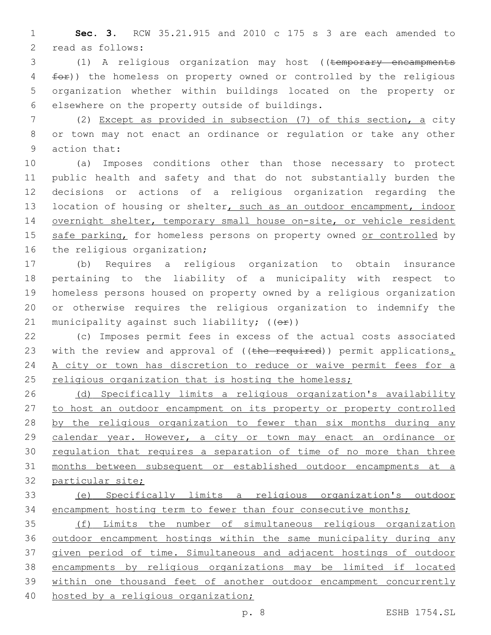1 **Sec. 3.** RCW 35.21.915 and 2010 c 175 s 3 are each amended to 2 read as follows:

3 (1) A religious organization may host ((temporary encampments 4 for)) the homeless on property owned or controlled by the religious 5 organization whether within buildings located on the property or 6 elsewhere on the property outside of buildings.

7 (2) Except as provided in subsection (7) of this section, a city 8 or town may not enact an ordinance or regulation or take any other 9 action that:

10 (a) Imposes conditions other than those necessary to protect 11 public health and safety and that do not substantially burden the 12 decisions or actions of a religious organization regarding the 13 location of housing or shelter, such as an outdoor encampment, indoor 14 overnight shelter, temporary small house on-site, or vehicle resident 15 safe parking, for homeless persons on property owned or controlled by 16 the religious organization;

 (b) Requires a religious organization to obtain insurance pertaining to the liability of a municipality with respect to homeless persons housed on property owned by a religious organization or otherwise requires the religious organization to indemnify the 21 municipality against such liability;  $((\theta \hat{r}))$ 

22 (c) Imposes permit fees in excess of the actual costs associated 23 with the review and approval of ((the required)) permit applications. 24 A city or town has discretion to reduce or waive permit fees for a 25 religious organization that is hosting the homeless;

26 (d) Specifically limits a religious organization's availability 27 to host an outdoor encampment on its property or property controlled 28 by the religious organization to fewer than six months during any 29 calendar year. However, a city or town may enact an ordinance or 30 regulation that requires a separation of time of no more than three 31 months between subsequent or established outdoor encampments at a 32 particular site;

33 (e) Specifically limits a religious organization's outdoor 34 encampment hosting term to fewer than four consecutive months;

 (f) Limits the number of simultaneous religious organization outdoor encampment hostings within the same municipality during any given period of time. Simultaneous and adjacent hostings of outdoor encampments by religious organizations may be limited if located within one thousand feet of another outdoor encampment concurrently hosted by a religious organization;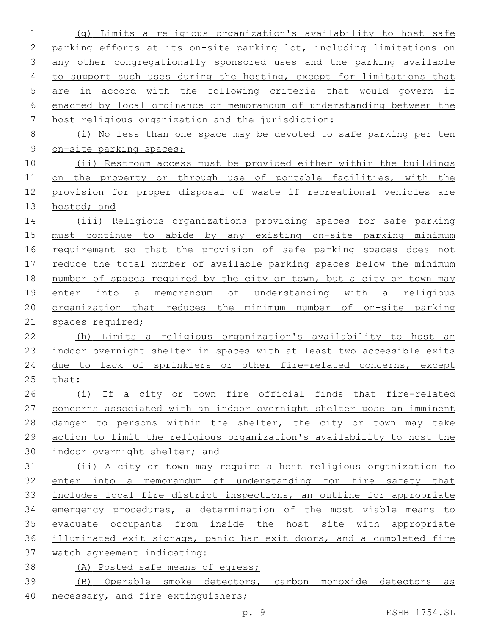(g) Limits a religious organization's availability to host safe parking efforts at its on-site parking lot, including limitations on any other congregationally sponsored uses and the parking available to support such uses during the hosting, except for limitations that are in accord with the following criteria that would govern if enacted by local ordinance or memorandum of understanding between the host religious organization and the jurisdiction: (i) No less than one space may be devoted to safe parking per ten on-site parking spaces; 10 (ii) Restroom access must be provided either within the buildings 11 on the property or through use of portable facilities, with the provision for proper disposal of waste if recreational vehicles are 13 hosted; and (iii) Religious organizations providing spaces for safe parking must continue to abide by any existing on-site parking minimum requirement so that the provision of safe parking spaces does not reduce the total number of available parking spaces below the minimum 18 number of spaces required by the city or town, but a city or town may enter into a memorandum of understanding with a religious organization that reduces the minimum number of on-site parking 21 spaces required; (h) Limits a religious organization's availability to host an indoor overnight shelter in spaces with at least two accessible exits due to lack of sprinklers or other fire-related concerns, except that: (i) If a city or town fire official finds that fire-related concerns associated with an indoor overnight shelter pose an imminent 28 danger to persons within the shelter, the city or town may take action to limit the religious organization's availability to host the indoor overnight shelter; and (ii) A city or town may require a host religious organization to enter into a memorandum of understanding for fire safety that includes local fire district inspections, an outline for appropriate emergency procedures, a determination of the most viable means to evacuate occupants from inside the host site with appropriate illuminated exit signage, panic bar exit doors, and a completed fire watch agreement indicating: (A) Posted safe means of egress; (B) Operable smoke detectors, carbon monoxide detectors as 40 necessary, and fire extinguishers;

p. 9 ESHB 1754.SL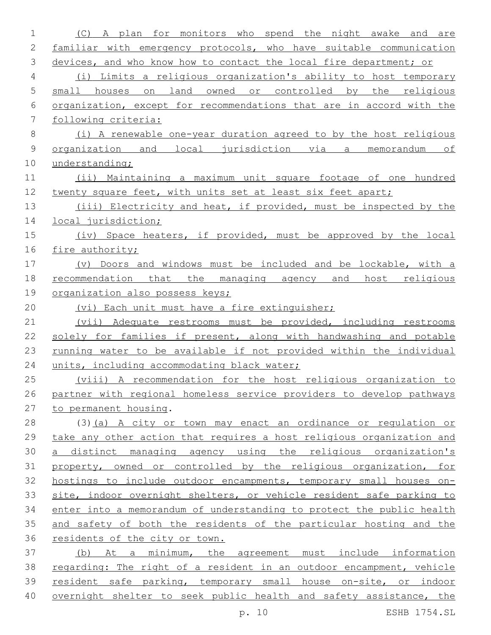| 1           | monitors who<br>A plan<br>for<br>spend the night awake and<br>(C)<br>are |
|-------------|--------------------------------------------------------------------------|
| 2           | familiar with emergency protocols, who have suitable communication       |
| 3           | devices, and who know how to contact the local fire department; or       |
| 4           | Limits a religious organization's ability to host temporary<br>(i)       |
| 5           | small houses<br>on land<br>owned or controlled by the<br>religious       |
| 6           | organization, except for recommendations that are in accord with the     |
| 7           | following criteria:                                                      |
| 8           | (i) A renewable one-year duration agreed to by the host religious        |
| $\mathsf 9$ | organization and<br>local jurisdiction via a memorandum<br>оf            |
| 10          | understanding;                                                           |
| 11          | (ii) Maintaining a maximum unit square footage of one hundred            |
| 12          | twenty square feet, with units set at least six feet apart;              |
| 13          | (iii) Electricity and heat, if provided, must be inspected by the        |
| 14          | local jurisdiction;                                                      |
| 15          | (iv) Space heaters, if provided, must be approved by the local           |
| 16          | fire authority;                                                          |
| 17          | Doors and windows must be included and be lockable, with a<br>$(\nabla)$ |
| 18          | recommendation<br>that<br>the managing agency and<br>host religious      |
| 19          | organization also possess keys;                                          |
| 20          | (vi) Each unit must have a fire extinguisher;                            |
| 21          | (vii) Adequate restrooms must be provided, including restrooms           |
| 22          | solely for families if present, along with handwashing and potable       |
| 23          | running water to be available if not provided within the individual      |
| 24          | units, including accommodating black water;                              |
| 25          | (viii) A recommendation for the host religious organization to           |
| 26          | partner with regional homeless service providers to develop pathways     |
| 27          | to permanent housing.                                                    |
| 28          | (3) (a) A city or town may enact an ordinance or regulation or           |
| 29          | take any other action that requires a host religious organization and    |
| 30          | a distinct managing agency using the religious organization's            |
| 31          | property, owned or controlled by the religious organization, for         |
| 32          | hostings to include outdoor encampments, temporary small houses on-      |
| 33          | site, indoor overnight shelters, or vehicle resident safe parking to     |
| 34          | enter into a memorandum of understanding to protect the public health    |
| 35          | and safety of both the residents of the particular hosting and the       |
| 36          | residents of the city or town.                                           |
| 37          | (b) At a minimum, the agreement must include information                 |
| 38          | regarding: The right of a resident in an outdoor encampment, vehicle     |
| 39          | resident safe parking, temporary small house on-site, or indoor          |
| 40          | overnight shelter to seek public health and safety assistance, the       |

p. 10 ESHB 1754.SL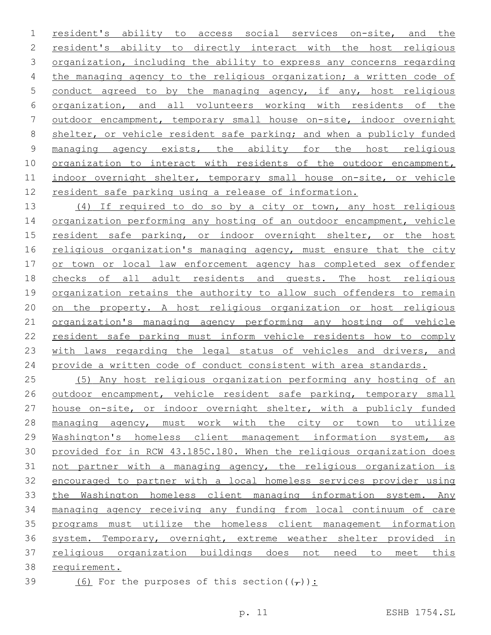resident's ability to access social services on-site, and the resident's ability to directly interact with the host religious organization, including the ability to express any concerns regarding 4 the managing agency to the religious organization; a written code of conduct agreed to by the managing agency, if any, host religious organization, and all volunteers working with residents of the outdoor encampment, temporary small house on-site, indoor overnight shelter, or vehicle resident safe parking; and when a publicly funded managing agency exists, the ability for the host religious organization to interact with residents of the outdoor encampment, indoor overnight shelter, temporary small house on-site, or vehicle resident safe parking using a release of information.

 (4) If required to do so by a city or town, any host religious 14 organization performing any hosting of an outdoor encampment, vehicle resident safe parking, or indoor overnight shelter, or the host 16 religious organization's managing agency, must ensure that the city or town or local law enforcement agency has completed sex offender checks of all adult residents and guests. The host religious organization retains the authority to allow such offenders to remain on the property. A host religious organization or host religious organization's managing agency performing any hosting of vehicle resident safe parking must inform vehicle residents how to comply 23 with laws regarding the legal status of vehicles and drivers, and 24 provide a written code of conduct consistent with area standards.

 (5) Any host religious organization performing any hosting of an outdoor encampment, vehicle resident safe parking, temporary small house on-site, or indoor overnight shelter, with a publicly funded 28 managing agency, must work with the city or town to utilize Washington's homeless client management information system, as provided for in RCW 43.185C.180. When the religious organization does not partner with a managing agency, the religious organization is encouraged to partner with a local homeless services provider using 33 the Washington homeless client managing information system. Any managing agency receiving any funding from local continuum of care programs must utilize the homeless client management information system. Temporary, overnight, extreme weather shelter provided in religious organization buildings does not need to meet this requirement.

39 (6) For the purposes of this section( $(\tau)$ ):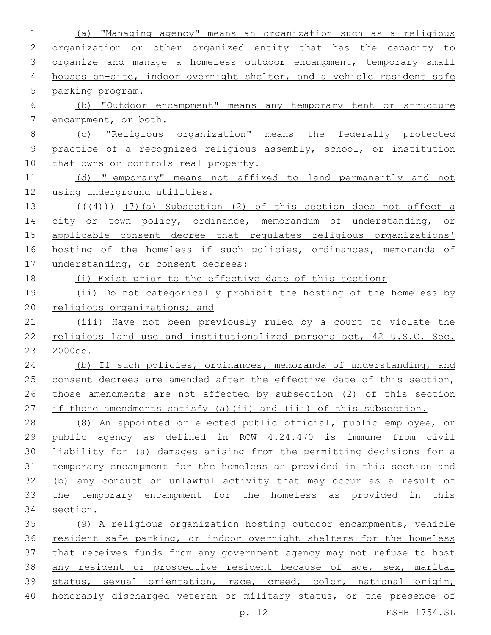(a) "Managing agency" means an organization such as a religious 2 organization or other organized entity that has the capacity to 3 organize and manage a homeless outdoor encampment, temporary small 4 houses on-site, indoor overnight shelter, and a vehicle resident safe parking program. (b) "Outdoor encampment" means any temporary tent or structure encampment, or both. (c) "Religious organization" means the federally protected practice of a recognized religious assembly, school, or institution 10 that owns or controls real property. 11 (d) "Temporary" means not affixed to land permanently and not using underground utilities.  $((+4))$   $(7)$  (a) Subsection (2) of this section does not affect a 14 city or town policy, ordinance, memorandum of understanding, or applicable consent decree that regulates religious organizations' hosting of the homeless if such policies, ordinances, memoranda of 17 understanding, or consent decrees: (i) Exist prior to the effective date of this section; 19 (ii) Do not categorically prohibit the hosting of the homeless by 20 religious organizations; and (iii) Have not been previously ruled by a court to violate the religious land use and institutionalized persons act, 42 U.S.C. Sec. 2000cc. 24 (b) If such policies, ordinances, memoranda of understanding, and 25 consent decrees are amended after the effective date of this section, those amendments are not affected by subsection (2) of this section if those amendments satisfy (a)(ii) and (iii) of this subsection. (8) An appointed or elected public official, public employee, or public agency as defined in RCW 4.24.470 is immune from civil liability for (a) damages arising from the permitting decisions for a temporary encampment for the homeless as provided in this section and (b) any conduct or unlawful activity that may occur as a result of the temporary encampment for the homeless as provided in this 34 section. (9) A religious organization hosting outdoor encampments, vehicle resident safe parking, or indoor overnight shelters for the homeless that receives funds from any government agency may not refuse to host any resident or prospective resident because of age, sex, marital status, sexual orientation, race, creed, color, national origin, honorably discharged veteran or military status, or the presence of

p. 12 ESHB 1754.SL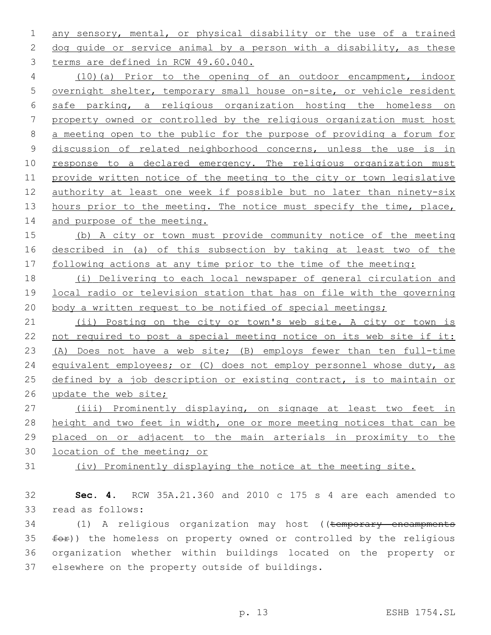1 any sensory, mental, or physical disability or the use of a trained 2 dog guide or service animal by a person with a disability, as these 3 terms are defined in RCW 49.60.040.

 (10)(a) Prior to the opening of an outdoor encampment, indoor overnight shelter, temporary small house on-site, or vehicle resident safe parking, a religious organization hosting the homeless on property owned or controlled by the religious organization must host a meeting open to the public for the purpose of providing a forum for discussion of related neighborhood concerns, unless the use is in 10 response to a declared emergency. The religious organization must provide written notice of the meeting to the city or town legislative authority at least one week if possible but no later than ninety-six 13 hours prior to the meeting. The notice must specify the time, place, 14 and purpose of the meeting.

15 (b) A city or town must provide community notice of the meeting 16 described in (a) of this subsection by taking at least two of the 17 following actions at any time prior to the time of the meeting:

18 (i) Delivering to each local newspaper of general circulation and 19 local radio or television station that has on file with the governing 20 body a written request to be notified of special meetings;

21 (ii) Posting on the city or town's web site. A city or town is 22 not required to post a special meeting notice on its web site if it: 23 (A) Does not have a web site; (B) employs fewer than ten full-time 24 equivalent employees; or (C) does not employ personnel whose duty, as 25 defined by a job description or existing contract, is to maintain or 26 update the web site;

 (iii) Prominently displaying, on signage at least two feet in 28 height and two feet in width, one or more meeting notices that can be placed on or adjacent to the main arterials in proximity to the location of the meeting; or

31 (iv) Prominently displaying the notice at the meeting site.

32 **Sec. 4.** RCW 35A.21.360 and 2010 c 175 s 4 are each amended to 33 read as follows:

34 (1) A religious organization may host ((temporary encampments  $35$   $f$ o $f$ ) the homeless on property owned or controlled by the religious 36 organization whether within buildings located on the property or 37 elsewhere on the property outside of buildings.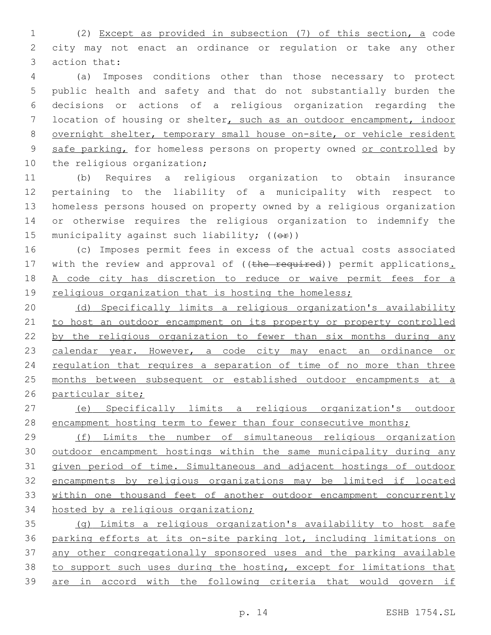(2) Except as provided in subsection (7) of this section, a code city may not enact an ordinance or regulation or take any other 3 action that:

 (a) Imposes conditions other than those necessary to protect public health and safety and that do not substantially burden the decisions or actions of a religious organization regarding the location of housing or shelter, such as an outdoor encampment, indoor overnight shelter, temporary small house on-site, or vehicle resident 9 safe parking, for homeless persons on property owned or controlled by 10 the religious organization;

 (b) Requires a religious organization to obtain insurance pertaining to the liability of a municipality with respect to homeless persons housed on property owned by a religious organization or otherwise requires the religious organization to indemnify the 15 municipality against such liability;  $((\theta \cdot \hat{r}))$ 

 (c) Imposes permit fees in excess of the actual costs associated 17 with the review and approval of ((the required)) permit applications. A code city has discretion to reduce or waive permit fees for a 19 religious organization that is hosting the homeless;

 (d) Specifically limits a religious organization's availability to host an outdoor encampment on its property or property controlled by the religious organization to fewer than six months during any 23 calendar year. However, a code city may enact an ordinance or 24 regulation that requires a separation of time of no more than three months between subsequent or established outdoor encampments at a particular site;

 (e) Specifically limits a religious organization's outdoor 28 encampment hosting term to fewer than four consecutive months;

 (f) Limits the number of simultaneous religious organization outdoor encampment hostings within the same municipality during any given period of time. Simultaneous and adjacent hostings of outdoor encampments by religious organizations may be limited if located within one thousand feet of another outdoor encampment concurrently hosted by a religious organization;

 (g) Limits a religious organization's availability to host safe parking efforts at its on-site parking lot, including limitations on any other congregationally sponsored uses and the parking available to support such uses during the hosting, except for limitations that are in accord with the following criteria that would govern if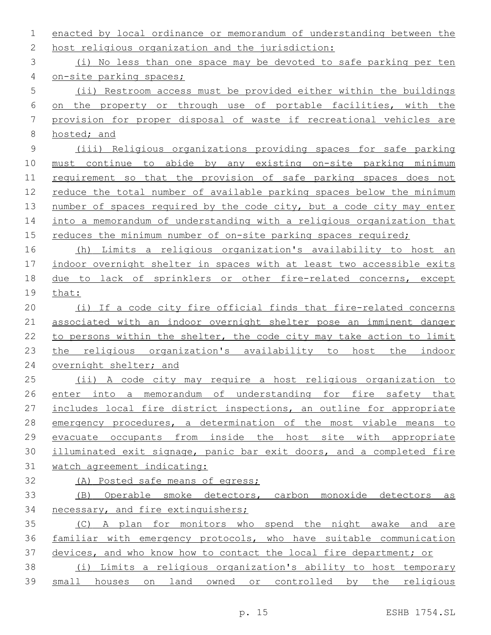enacted by local ordinance or memorandum of understanding between the 2 host religious organization and the jurisdiction: (i) No less than one space may be devoted to safe parking per ten on-site parking spaces; (ii) Restroom access must be provided either within the buildings on the property or through use of portable facilities, with the provision for proper disposal of waste if recreational vehicles are hosted; and (iii) Religious organizations providing spaces for safe parking must continue to abide by any existing on-site parking minimum requirement so that the provision of safe parking spaces does not reduce the total number of available parking spaces below the minimum 13 number of spaces required by the code city, but a code city may enter into a memorandum of understanding with a religious organization that 15 reduces the minimum number of on-site parking spaces required; (h) Limits a religious organization's availability to host an indoor overnight shelter in spaces with at least two accessible exits due to lack of sprinklers or other fire-related concerns, except that: (i) If a code city fire official finds that fire-related concerns associated with an indoor overnight shelter pose an imminent danger 22 to persons within the shelter, the code city may take action to limit the religious organization's availability to host the indoor 24 overnight shelter; and (ii) A code city may require a host religious organization to enter into a memorandum of understanding for fire safety that includes local fire district inspections, an outline for appropriate emergency procedures, a determination of the most viable means to evacuate occupants from inside the host site with appropriate illuminated exit signage, panic bar exit doors, and a completed fire watch agreement indicating: (A) Posted safe means of egress; (B) Operable smoke detectors, carbon monoxide detectors as necessary, and fire extinguishers; (C) A plan for monitors who spend the night awake and are familiar with emergency protocols, who have suitable communication devices, and who know how to contact the local fire department; or (i) Limits a religious organization's ability to host temporary small houses on land owned or controlled by the religious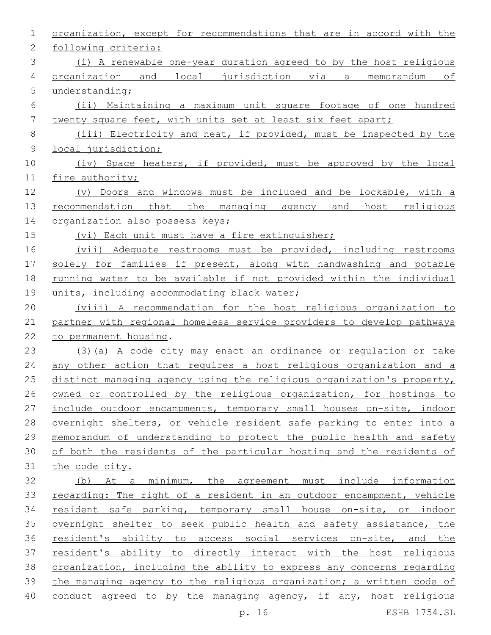| 1           | organization, except for recommendations that are in accord with the  |
|-------------|-----------------------------------------------------------------------|
| 2           | following criteria:                                                   |
| 3           | (i) A renewable one-year duration agreed to by the host religious     |
| 4           | organization and local jurisdiction via a memorandum of               |
| 5           | understanding;                                                        |
| 6           | (ii) Maintaining a maximum unit square footage of one hundred         |
| 7           | twenty square feet, with units set at least six feet apart;           |
| 8           | (iii) Electricity and heat, if provided, must be inspected by the     |
| $\mathsf 9$ | local jurisdiction;                                                   |
| 10          | (iv) Space heaters, if provided, must be approved by the local        |
| 11          | fire authority;                                                       |
| 12          | (v) Doors and windows must be included and be lockable, with a        |
| 13          | recommendation that the managing agency and host religious            |
| 14          | organization also possess keys;                                       |
| 15          | (vi) Each unit must have a fire extinguisher;                         |
| 16          | (vii) Adequate restrooms must be provided, including restrooms        |
| 17          | solely for families if present, along with handwashing and potable    |
| 18          | running water to be available if not provided within the individual   |
| 19          | units, including accommodating black water;                           |
| 20          | (viii) A recommendation for the host religious organization to        |
| 21          | partner with regional homeless service providers to develop pathways  |
| 22          | to permanent housing.                                                 |
| 23          | (3) (a) A code city may enact an ordinance or regulation or take      |
| 24          | any other action that requires a host religious organization and a    |
| 25          | distinct managing agency using the religious organization's property, |
| 26          | owned or controlled by the religious organization, for hostings to    |
| 27          | include outdoor encampments, temporary small houses on-site, indoor   |
| 28          | overnight shelters, or vehicle resident safe parking to enter into a  |
| 29          | memorandum of understanding to protect the public health and safety   |
| 30          | of both the residents of the particular hosting and the residents of  |
| 31          | the code city.                                                        |
| 32          | (b) At a minimum, the agreement must include information              |
| 33          | regarding: The right of a resident in an outdoor encampment, vehicle  |
| 34          | resident safe parking, temporary small house on-site, or indoor       |
| 35          | overnight shelter to seek public health and safety assistance, the    |
| 36          | resident's ability to access social services on-site, and the         |
| 37          | resident's ability to directly interact with the host religious       |
| 38          | organization, including the ability to express any concerns regarding |
| 39          | the managing agency to the religious organization; a written code of  |
| 40          | conduct agreed to by the managing agency, if any, host religious      |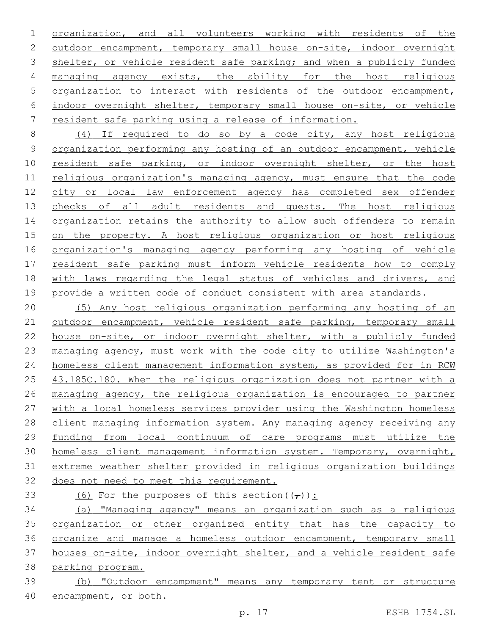organization, and all volunteers working with residents of the outdoor encampment, temporary small house on-site, indoor overnight 3 shelter, or vehicle resident safe parking; and when a publicly funded 4 managing agency exists, the ability for the host religious organization to interact with residents of the outdoor encampment, indoor overnight shelter, temporary small house on-site, or vehicle resident safe parking using a release of information.

 (4) If required to do so by a code city, any host religious 9 organization performing any hosting of an outdoor encampment, vehicle 10 resident safe parking, or indoor overnight shelter, or the host religious organization's managing agency, must ensure that the code city or local law enforcement agency has completed sex offender 13 checks of all adult residents and quests. The host religious 14 organization retains the authority to allow such offenders to remain on the property. A host religious organization or host religious organization's managing agency performing any hosting of vehicle resident safe parking must inform vehicle residents how to comply 18 with laws regarding the legal status of vehicles and drivers, and 19 provide a written code of conduct consistent with area standards.

 (5) Any host religious organization performing any hosting of an 21 outdoor encampment, vehicle resident safe parking, temporary small house on-site, or indoor overnight shelter, with a publicly funded managing agency, must work with the code city to utilize Washington's homeless client management information system, as provided for in RCW 25 43.185C.180. When the religious organization does not partner with a managing agency, the religious organization is encouraged to partner with a local homeless services provider using the Washington homeless client managing information system. Any managing agency receiving any funding from local continuum of care programs must utilize the homeless client management information system. Temporary, overnight, extreme weather shelter provided in religious organization buildings does not need to meet this requirement.

33 (6) For the purposes of this section( $(\tau)$ ):

 (a) "Managing agency" means an organization such as a religious organization or other organized entity that has the capacity to organize and manage a homeless outdoor encampment, temporary small houses on-site, indoor overnight shelter, and a vehicle resident safe

- parking program.
- (b) "Outdoor encampment" means any temporary tent or structure encampment, or both.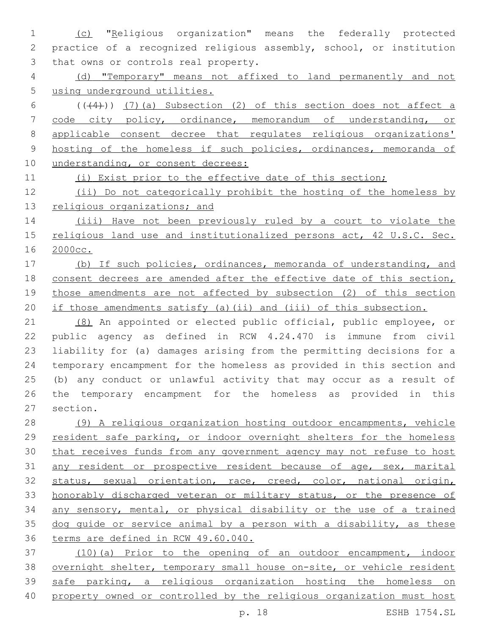(c) "Religious organization" means the federally protected practice of a recognized religious assembly, school, or institution 3 that owns or controls real property.

 (d) "Temporary" means not affixed to land permanently and not using underground utilities.

 $(1+4)$ ) (7)(a) Subsection (2) of this section does not affect a code city policy, ordinance, memorandum of understanding, or applicable consent decree that regulates religious organizations' hosting of the homeless if such policies, ordinances, memoranda of 10 understanding, or consent decrees:

(i) Exist prior to the effective date of this section;

 (ii) Do not categorically prohibit the hosting of the homeless by 13 religious organizations; and

 (iii) Have not been previously ruled by a court to violate the religious land use and institutionalized persons act, 42 U.S.C. Sec. 2000cc.

 (b) If such policies, ordinances, memoranda of understanding, and consent decrees are amended after the effective date of this section, those amendments are not affected by subsection (2) of this section if those amendments satisfy (a)(ii) and (iii) of this subsection.

 (8) An appointed or elected public official, public employee, or public agency as defined in RCW 4.24.470 is immune from civil liability for (a) damages arising from the permitting decisions for a temporary encampment for the homeless as provided in this section and (b) any conduct or unlawful activity that may occur as a result of the temporary encampment for the homeless as provided in this 27 section.

 (9) A religious organization hosting outdoor encampments, vehicle resident safe parking, or indoor overnight shelters for the homeless that receives funds from any government agency may not refuse to host 31 any resident or prospective resident because of age, sex, marital 32 status, sexual orientation, race, creed, color, national origin, honorably discharged veteran or military status, or the presence of any sensory, mental, or physical disability or the use of a trained 35 dog quide or service animal by a person with a disability, as these terms are defined in RCW 49.60.040.

 (10)(a) Prior to the opening of an outdoor encampment, indoor overnight shelter, temporary small house on-site, or vehicle resident safe parking, a religious organization hosting the homeless on property owned or controlled by the religious organization must host